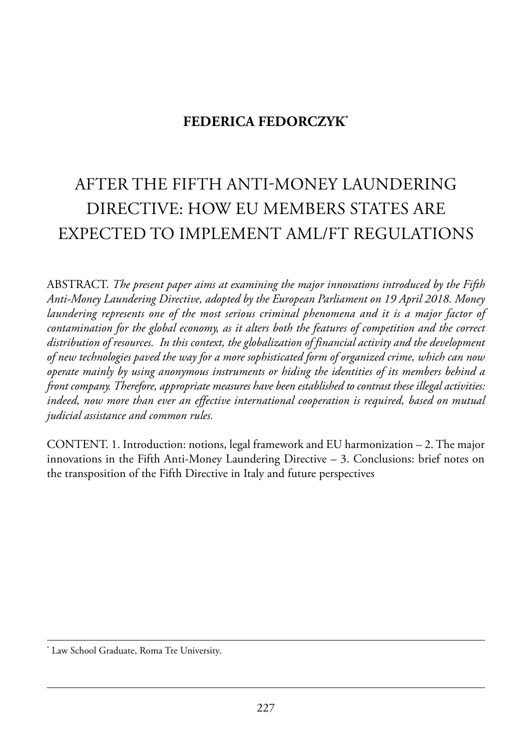## **FEDERICA FEDORCZYK\***

# after the fifth anti-moneY launderinG direCtiVe: how eu memBers states are eXpeCted to implement aml/ft reGulations

aBstraCt. *The present paper aims at examining the major innovations introduced by the Fifth Anti-Money Laundering Directive, adopted by the European Parliament on 19 April 2018. Money laundering represents one of the most serious criminal phenomena and it is a major factor of contamination for the global economy, as it alters both the features of competition and the correct distribution of resources. In this context, the globalization of financial activity and the development of new technologies paved the way for a more sophisticated form of organized crime, which can now operate mainly by using anonymous instruments or hiding the identities of its members behind a front company. Therefore, appropriate measures have been established to contrast these illegal activities: indeed, now more than ever an effective international cooperation is required, based on mutual judicial assistance and common rules.*

CONTENT. 1. Introduction: notions, legal framework and EU harmonization  $-2$ . The major innovations in the Fifth Anti-Money Laundering Directive  $-$  3. Conclusions: brief notes on the transposition of the Fifth Directive in Italy and future perspectives

<sup>\*</sup> Law School Graduate, Roma Tre University.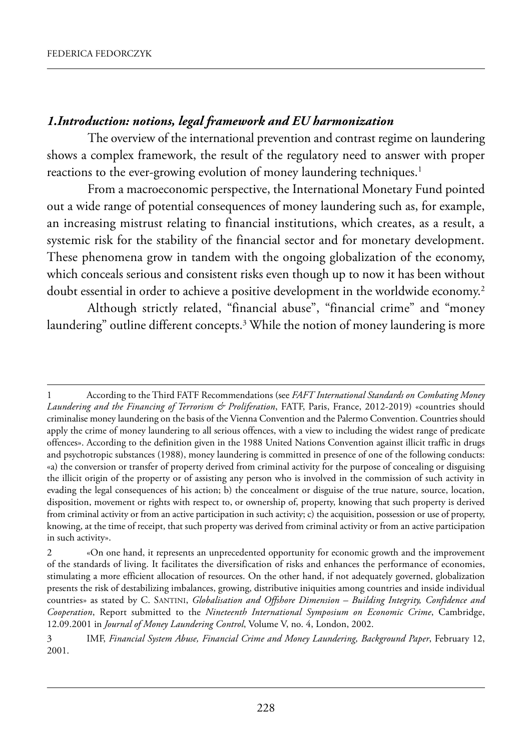#### *1.Introduction: notions, legal framework and EU harmonization*

The overview of the international prevention and contrast regime on laundering shows a complex framework, the result of the regulatory need to answer with proper reactions to the ever-growing evolution of money laundering techniques.<sup>1</sup>

From a macroeconomic perspective, the International Monetary Fund pointed out a wide range of potential consequences of money laundering such as, for example, an increasing mistrust relating to financial institutions, which creates, as a result, a systemic risk for the stability of the financial sector and for monetary development. These phenomena grow in tandem with the ongoing globalization of the economy, which conceals serious and consistent risks even though up to now it has been without doubt essential in order to achieve a positive development in the worldwide economy.<sup>2</sup>

although strictly related, "financial abuse", "financial crime" and "money laundering" outline different concepts.3 while the notion of money laundering is more

According to the Third FATF Recommendations (see *FAFT International Standards on Combating Money Laundering and the Financing of Terrorism & Proliferation*, fatf, paris, france, 2012-2019) «countries should criminalise money laundering on the basis of the Vienna Convention and the palermo Convention. Countries should apply the crime of money laundering to all serious offences, with a view to including the widest range of predicate offences». According to the definition given in the 1988 United Nations Convention against illicit traffic in drugs and psychotropic substances (1988), money laundering is committed in presence of one of the following conducts: «a) the conversion or transfer of property derived from criminal activity for the purpose of concealing or disguising the illicit origin of the property or of assisting any person who is involved in the commission of such activity in evading the legal consequences of his action; b) the concealment or disguise of the true nature, source, location, disposition, movement or rights with respect to, or ownership of, property, knowing that such property is derived from criminal activity or from an active participation in such activity; c) the acquisition, possession or use of property, knowing, at the time of receipt, that such property was derived from criminal activity or from an active participation in such activity».

<sup>2 «</sup>On one hand, it represents an unprecedented opportunity for economic growth and the improvement of the standards of living. it facilitates the diversification of risks and enhances the performance of economies, stimulating a more efficient allocation of resources. On the other hand, if not adequately governed, globalization presents the risk of destabilizing imbalances, growing, distributive iniquities among countries and inside individual countries» as stated by C. santini, *Globalisation and Offshore Dimension – Building Integrity, Confidence and Cooperation*, Report submitted to the *Nineteenth International Symposium on Economic Crime*, Cambridge, 12.09.2001 in *Journal of Money Laundering Control*, Volume V, no. 4, london, 2002.

<sup>3</sup> imf, *Financial System Abuse, Financial Crime and Money Laundering, Background Paper*, february 12, 2001.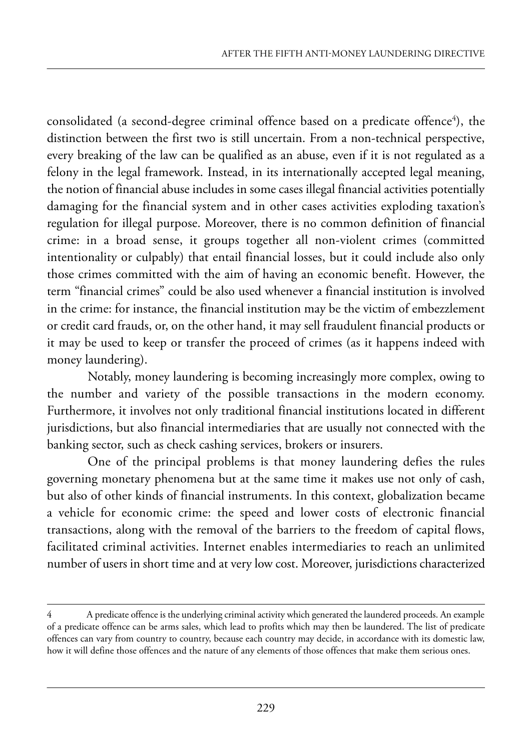consolidated (a second-degree criminal offence based on a predicate offence $^{\rm 4)}$ , the distinction between the first two is still uncertain. from a non-technical perspective, every breaking of the law can be qualified as an abuse, even if it is not regulated as a felony in the legal framework. instead, in its internationally accepted legal meaning, the notion of financial abuse includes in some cases illegal financial activities potentially damaging for the financial system and in other cases activities exploding taxation's regulation for illegal purpose. Moreover, there is no common definition of financial crime: in a broad sense, it groups together all non-violent crimes (committed intentionality or culpably) that entail financial losses, but it could include also only those crimes committed with the aim of having an economic benefit. however, the term "financial crimes" could be also used whenever a financial institution is involved in the crime: for instance, the financial institution may be the victim of embezzlement or credit card frauds, or, on the other hand, it may sell fraudulent financial products or it may be used to keep or transfer the proceed of crimes (as it happens indeed with money laundering).

Notably, money laundering is becoming increasingly more complex, owing to the number and variety of the possible transactions in the modern economy. furthermore, it involves not only traditional financial institutions located in different jurisdictions, but also financial intermediaries that are usually not connected with the banking sector, such as check cashing services, brokers or insurers.

One of the principal problems is that money laundering defies the rules governing monetary phenomena but at the same time it makes use not only of cash, but also of other kinds of financial instruments. In this context, globalization became a vehicle for economic crime: the speed and lower costs of electronic financial transactions, along with the removal of the barriers to the freedom of capital flows, facilitated criminal activities. internet enables intermediaries to reach an unlimited number of users in short time and at very low cost. Moreover, jurisdictions characterized

<sup>4</sup> a predicate offence is the underlying criminal activity which generated the laundered proceeds. an example of a predicate offence can be arms sales, which lead to profits which may then be laundered. the list of predicate offences can vary from country to country, because each country may decide, in accordance with its domestic law, how it will define those offences and the nature of any elements of those offences that make them serious ones.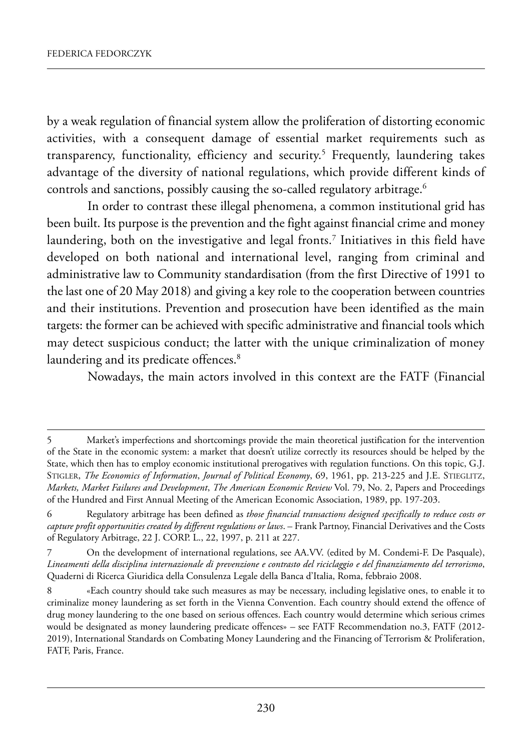by a weak regulation of financial system allow the proliferation of distorting economic activities, with a consequent damage of essential market requirements such as transparency, functionality, efficiency and security.<sup>5</sup> Frequently, laundering takes advantage of the diversity of national regulations, which provide different kinds of controls and sanctions, possibly causing the so-called regulatory arbitrage.<sup>6</sup>

In order to contrast these illegal phenomena, a common institutional grid has been built. Its purpose is the prevention and the fight against financial crime and money laundering, both on the investigative and legal fronts.<sup>7</sup> Initiatives in this field have developed on both national and international level, ranging from criminal and administrative law to Community standardisation (from the first Directive of 1991 to the last one of 20 may 2018) and giving a key role to the cooperation between countries and their institutions. prevention and prosecution have been identified as the main targets: the former can be achieved with specific administrative and financial tools which may detect suspicious conduct; the latter with the unique criminalization of money laundering and its predicate offences.<sup>8</sup>

Nowadays, the main actors involved in this context are the FATF (Financial

<sup>5</sup> market's imperfections and shortcomings provide the main theoretical justification for the intervention of the state in the economic system: a market that doesn't utilize correctly its resources should be helped by the State, which then has to employ economic institutional prerogatives with regulation functions. On this topic, G.J. STIGLER, *The Economics of Information*, *Journal of Political Economy*, 69, 1961, pp. 213-225 and J.E. STIEGLITZ, *Markets, Market Failures and Development*, *The American Economic Review* Vol. 79, no. 2, papers and proceedings of the Hundred and First Annual Meeting of the American Economic Association, 1989, pp. 197-203.

<sup>6</sup> regulatory arbitrage has been defined as *those financial transactions designed specifically to reduce costs or* capture profit opportunities created by different regulations or laws. – Frank Partnoy, Financial Derivatives and the Costs of Regulatory Arbitrage, 22 J. CORP. L., 22, 1997, p. 211 at 227.

<sup>7</sup> On the development of international regulations, see AA.VV. (edited by M. Condemi-F. De Pasquale), *Lineamenti della disciplina internazionale di prevenzione e contrasto del riciclaggio e del finanziamento del terrorismo*, Quaderni di Ricerca Giuridica della Consulenza Legale della Banca d'Italia, Roma, febbraio 2008.

<sup>«</sup>Each country should take such measures as may be necessary, including legislative ones, to enable it to criminalize money laundering as set forth in the Vienna Convention. Each country should extend the offence of drug money laundering to the one based on serious offences. Each country would determine which serious crimes would be designated as money laundering predicate offences» - see FATF Recommendation no.3, FATF (2012-2019), International Standards on Combating Money Laundering and the Financing of Terrorism & Proliferation, FATF, Paris, France.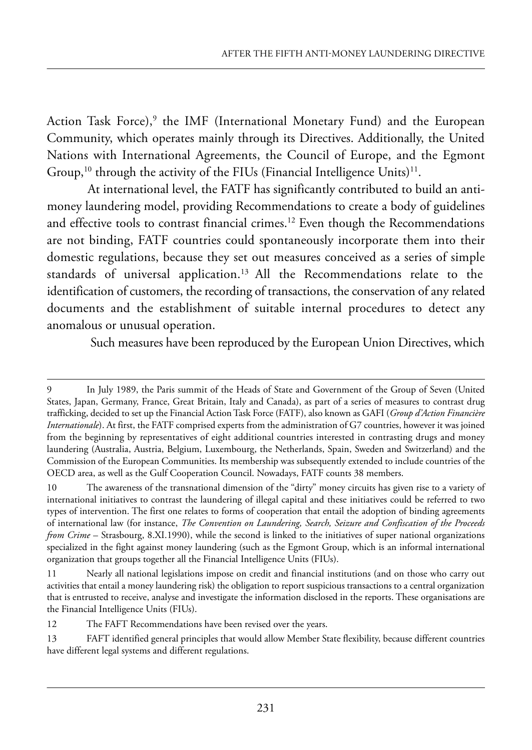Action Task Force), $9$  the IMF (International Monetary Fund) and the European Community, which operates mainly through its Directives. Additionally, the United Nations with International Agreements, the Council of Europe, and the Egmont Group,<sup>10</sup> through the activity of the FIUs (Financial Intelligence Units)<sup>11</sup>.

At international level, the FATF has significantly contributed to build an antimoney laundering model, providing Recommendations to create a body of guidelines and effective tools to contrast financial crimes.<sup>12</sup> Even though the Recommendations are not binding, FATF countries could spontaneously incorporate them into their domestic regulations, because they set out measures conceived as a series of simple standards of universal application.<sup>13</sup> All the Recommendations relate to the identification of customers, the recording of transactions, the conservation of any related documents and the establishment of suitable internal procedures to detect any anomalous or unusual operation.

Such measures have been reproduced by the European Union Directives, which

12 The FAFT Recommendations have been revised over the years.

<sup>9</sup> in July 1989, the paris summit of the heads of state and Government of the Group of seven (united states, Japan, Germany, france, Great Britain, italy and Canada), as part of a series of measures to contrast drug trafficking, decided to set up the Financial Action Task Force (FATF), also known as GAFI (*Group d'Action Financière Internationale*). At first, the FATF comprised experts from the administration of G7 countries, however it was joined from the beginning by representatives of eight additional countries interested in contrasting drugs and money laundering (Australia, Austria, Belgium, Luxembourg, the Netherlands, Spain, Sweden and Switzerland) and the Commission of the european Communities. its membership was subsequently extended to include countries of the OECD area, as well as the Gulf Cooperation Council. Nowadays, FATF counts 38 members.

<sup>10</sup> The awareness of the transnational dimension of the "dirty" money circuits has given rise to a variety of international initiatives to contrast the laundering of illegal capital and these initiatives could be referred to two types of intervention. the first one relates to forms of cooperation that entail the adoption of binding agreements of international law (for instance, *The Convention on Laundering, Search, Seizure and Confiscation of the Proceeds from Crime* – Strasbourg, 8.XI.1990), while the second is linked to the initiatives of super national organizations specialized in the fight against money laundering (such as the Egmont Group, which is an informal international organization that groups together all the Financial Intelligence Units (FIUs).

<sup>11</sup> Nearly all national legislations impose on credit and financial institutions (and on those who carry out activities that entail a money laundering risk) the obligation to report suspicious transactions to a central organization that is entrusted to receive, analyse and investigate the information disclosed in the reports. these organisations are the Financial Intelligence Units (FIUs).

<sup>13</sup> FAFT identified general principles that would allow Member State flexibility, because different countries have different legal systems and different regulations.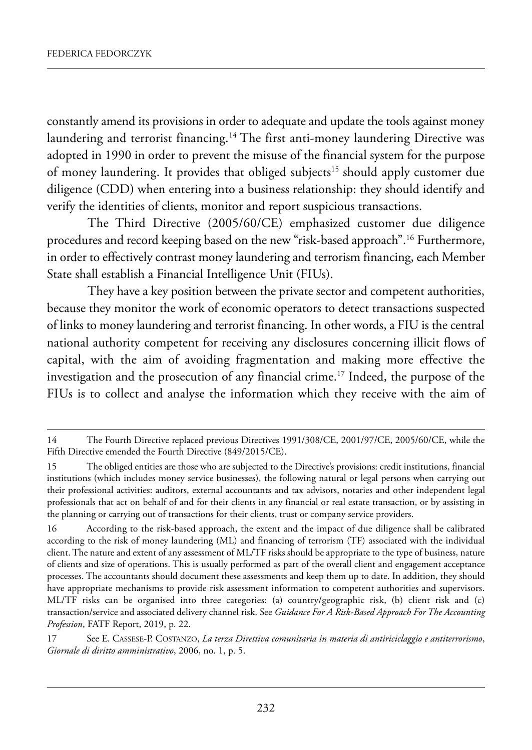constantly amend its provisions in order to adequate and update the tools against money laundering and terrorist financing.<sup>14</sup> The first anti-money laundering Directive was adopted in 1990 in order to prevent the misuse of the financial system for the purpose of money laundering. It provides that obliged subjects<sup>15</sup> should apply customer due diligence (CDD) when entering into a business relationship: they should identify and verify the identities of clients, monitor and report suspicious transactions.

The Third Directive (2005/60/CE) emphasized customer due diligence procedures and record keeping based on the new "risk-based approach".<sup>16</sup> Furthermore, in order to effectively contrast money laundering and terrorism financing, each Member State shall establish a Financial Intelligence Unit (FIUs).

They have a key position between the private sector and competent authorities, because they monitor the work of economic operators to detect transactions suspected of links to money laundering and terrorist financing. In other words, a FIU is the central national authority competent for receiving any disclosures concerning illicit flows of capital, with the aim of avoiding fragmentation and making more effective the investigation and the prosecution of any financial crime.<sup>17</sup> Indeed, the purpose of the FIUs is to collect and analyse the information which they receive with the aim of

<sup>14</sup> The Fourth Directive replaced previous Directives 1991/308/CE, 2001/97/CE, 2005/60/CE, while the Fifth Directive emended the Fourth Directive (849/2015/CE).

<sup>15</sup> The obliged entities are those who are subjected to the Directive's provisions: credit institutions, financial institutions (which includes money service businesses), the following natural or legal persons when carrying out their professional activities: auditors, external accountants and tax advisors, notaries and other independent legal professionals that act on behalf of and for their clients in any financial or real estate transaction, or by assisting in the planning or carrying out of transactions for their clients, trust or company service providers.

<sup>16</sup> according to the risk-based approach, the extent and the impact of due diligence shall be calibrated according to the risk of money laundering (ML) and financing of terrorism (TF) associated with the individual client. The nature and extent of any assessment of ML/TF risks should be appropriate to the type of business, nature of clients and size of operations. this is usually performed as part of the overall client and engagement acceptance processes. the accountants should document these assessments and keep them up to date. in addition, they should have appropriate mechanisms to provide risk assessment information to competent authorities and supervisors. ml/tf risks can be organised into three categories: (a) country/geographic risk, (b) client risk and (c) transaction/service and associated delivery channel risk. see *Guidance For A Risk-Based Approach For The Accounting Profession*, FATF Report, 2019, p. 22.

<sup>17</sup> see e. Cassese-p. CostanZo, *La terza Direttiva comunitaria in materia di antiriciclaggio e antiterrorismo*, *Giornale di diritto amministrativo*, 2006, no. 1, p. 5.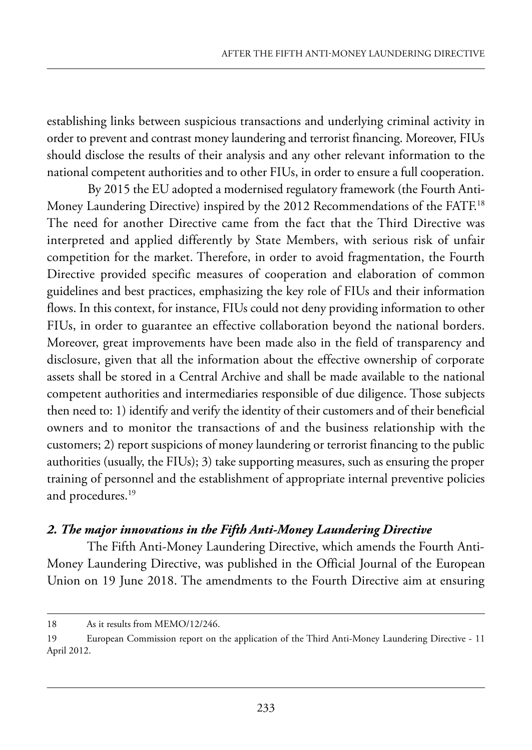establishing links between suspicious transactions and underlying criminal activity in order to prevent and contrast money laundering and terrorist financing. Moreover, FIUs should disclose the results of their analysis and any other relevant information to the national competent authorities and to other FIUs, in order to ensure a full cooperation.

By 2015 the EU adopted a modernised regulatory framework (the Fourth Anti-Money Laundering Directive) inspired by the 2012 Recommendations of the FATF.<sup>18</sup> The need for another Directive came from the fact that the Third Directive was interpreted and applied differently by state members, with serious risk of unfair competition for the market. Therefore, in order to avoid fragmentation, the Fourth Directive provided specific measures of cooperation and elaboration of common guidelines and best practices, emphasizing the key role of FIUs and their information flows. In this context, for instance, FIUs could not deny providing information to other FIUs, in order to guarantee an effective collaboration beyond the national borders. Moreover, great improvements have been made also in the field of transparency and disclosure, given that all the information about the effective ownership of corporate assets shall be stored in a Central Archive and shall be made available to the national competent authorities and intermediaries responsible of due diligence. Those subjects then need to: 1) identify and verify the identity of their customers and of their beneficial owners and to monitor the transactions of and the business relationship with the customers; 2) report suspicions of money laundering or terrorist financing to the public authorities (usually, the FIUs); 3) take supporting measures, such as ensuring the proper training of personnel and the establishment of appropriate internal preventive policies and procedures.19

#### *2. The major innovations in the Fifth Anti-Money Laundering Directive*

The Fifth Anti-Money Laundering Directive, which amends the Fourth Anti-Money Laundering Directive, was published in the Official Journal of the European Union on 19 June 2018. The amendments to the Fourth Directive aim at ensuring

<sup>18</sup> As it results from MEMO/12/246.

<sup>19</sup> European Commission report on the application of the Third Anti-Money Laundering Directive - 11 April 2012.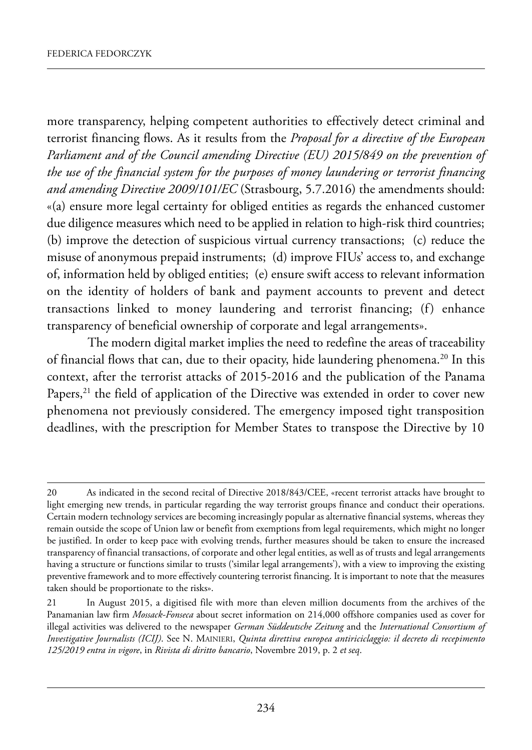more transparency, helping competent authorities to effectively detect criminal and terrorist financing flows. As it results from the *Proposal for a directive of the European Parliament and of the Council amending Directive (EU) 2015/849 on the prevention of the use of the financial system for the purposes of money laundering or terrorist financing* and amending Directive 2009/101/EC (Strasbourg, 5.7.2016) the amendments should: «(a) ensure more legal certainty for obliged entities as regards the enhanced customer due diligence measures which need to be applied in relation to high-risk third countries; (b) improve the detection of suspicious virtual currency transactions; (c) reduce the misuse of anonymous prepaid instruments; (d) improve FIUs' access to, and exchange of, information held by obliged entities; (e) ensure swift access to relevant information on the identity of holders of bank and payment accounts to prevent and detect transactions linked to money laundering and terrorist financing; (f) enhance transparency of beneficial ownership of corporate and legal arrangements».

The modern digital market implies the need to redefine the areas of traceability of financial flows that can, due to their opacity, hide laundering phenomena.<sup>20</sup> In this context, after the terrorist attacks of 2015-2016 and the publication of the panama Papers,<sup>21</sup> the field of application of the Directive was extended in order to cover new phenomena not previously considered. The emergency imposed tight transposition deadlines, with the prescription for Member States to transpose the Directive by 10

<sup>20</sup> As indicated in the second recital of Directive 2018/843/CEE, «recent terrorist attacks have brought to light emerging new trends, in particular regarding the way terrorist groups finance and conduct their operations. Certain modern technology services are becoming increasingly popular as alternative financial systems, whereas they remain outside the scope of Union law or benefit from exemptions from legal requirements, which might no longer be justified. in order to keep pace with evolving trends, further measures should be taken to ensure the increased transparency of financial transactions, of corporate and other legal entities, as well as of trusts and legal arrangements having a structure or functions similar to trusts ('similar legal arrangements'), with a view to improving the existing preventive framework and to more effectively countering terrorist financing. it is important to note that the measures taken should be proportionate to the risks».

<sup>21</sup> in august 2015, a digitised file with more than eleven million documents from the archives of the panamanian law firm *Mossack-Fonseca* about secret information on 214,000 offshore companies used as cover for illegal activities was delivered to the newspaper *German Süddeutsche Zeitung* and the *International Consortium of Investigative Journalists (ICIJ)*. see n. mainieri, *Quinta direttiva europea antiriciclaggio: il decreto di recepimento 125/2019 entra in vigore*, in *Rivista di diritto bancario*, novembre 2019, p. 2 *et seq*.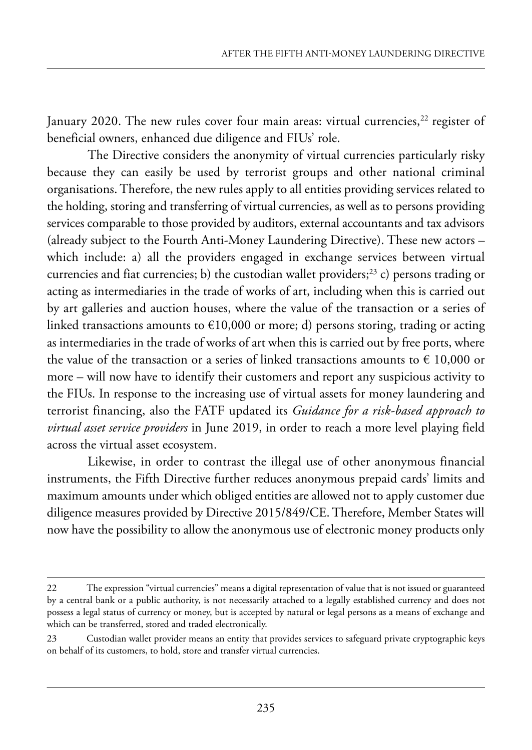January 2020. The new rules cover four main areas: virtual currencies, $22$  register of beneficial owners, enhanced due diligence and FIUs' role.

The Directive considers the anonymity of virtual currencies particularly risky because they can easily be used by terrorist groups and other national criminal organisations. Therefore, the new rules apply to all entities providing services related to the holding, storing and transferring of virtual currencies, as well as to persons providing services comparable to those provided by auditors, external accountants and tax advisors (already subject to the Fourth Anti-Money Laundering Directive). These new actors – which include: a) all the providers engaged in exchange services between virtual currencies and fiat currencies; b) the custodian wallet providers;<sup>23</sup> c) persons trading or acting as intermediaries in the trade of works of art, including when this is carried out by art galleries and auction houses, where the value of the transaction or a series of linked transactions amounts to  $\epsilon$ 10,000 or more; d) persons storing, trading or acting as intermediaries in the trade of works of art when this is carried out by free ports, where the value of the transaction or a series of linked transactions amounts to  $\epsilon$  10,000 or more – will now have to identify their customers and report any suspicious activity to the FIUs. In response to the increasing use of virtual assets for money laundering and terrorist financing, also the FATF updated its *Guidance for a risk-based approach to virtual asset service providers* in June 2019, in order to reach a more level playing field across the virtual asset ecosystem.

Likewise, in order to contrast the illegal use of other anonymous financial instruments, the Fifth Directive further reduces anonymous prepaid cards' limits and maximum amounts under which obliged entities are allowed not to apply customer due diligence measures provided by Directive 2015/849/CE. Therefore, Member States will now have the possibility to allow the anonymous use of electronic money products only

<sup>22</sup> The expression "virtual currencies" means a digital representation of value that is not issued or guaranteed by a central bank or a public authority, is not necessarily attached to a legally established currency and does not possess a legal status of currency or money, but is accepted by natural or legal persons as a means of exchange and which can be transferred, stored and traded electronically.

<sup>23</sup> Custodian wallet provider means an entity that provides services to safeguard private cryptographic keys on behalf of its customers, to hold, store and transfer virtual currencies.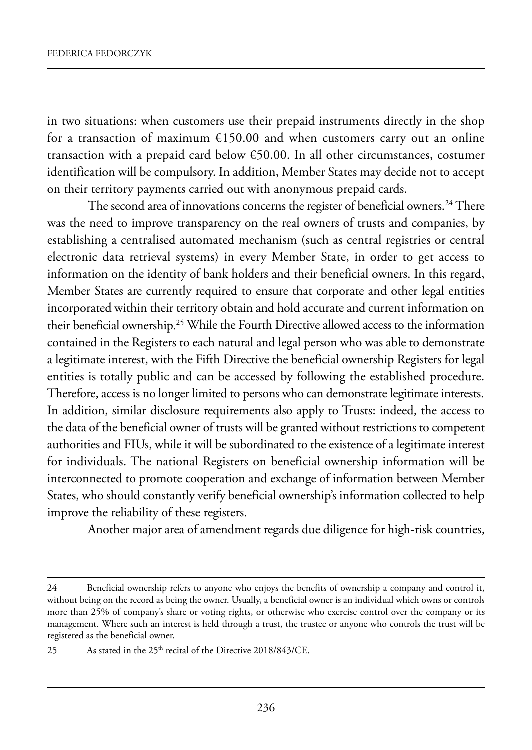in two situations: when customers use their prepaid instruments directly in the shop for a transaction of maximum  $£150.00$  and when customers carry out an online transaction with a prepaid card below  $€50.00$ . In all other circumstances, costumer identification will be compulsory. In addition, Member States may decide not to accept on their territory payments carried out with anonymous prepaid cards.

The second area of innovations concerns the register of beneficial owners.<sup>24</sup> There was the need to improve transparency on the real owners of trusts and companies, by establishing a centralised automated mechanism (such as central registries or central electronic data retrieval systems) in every Member State, in order to get access to information on the identity of bank holders and their beneficial owners. in this regard, Member States are currently required to ensure that corporate and other legal entities incorporated within their territory obtain and hold accurate and current information on their beneficial ownership.<sup>25</sup> While the Fourth Directive allowed access to the information contained in the Registers to each natural and legal person who was able to demonstrate a legitimate interest, with the Fifth Directive the beneficial ownership Registers for legal entities is totally public and can be accessed by following the established procedure. Therefore, access is no longer limited to persons who can demonstrate legitimate interests. In addition, similar disclosure requirements also apply to Trusts: indeed, the access to the data of the beneficial owner of trusts will be granted without restrictions to competent authorities and FIUs, while it will be subordinated to the existence of a legitimate interest for individuals. The national Registers on beneficial ownership information will be interconnected to promote cooperation and exchange of information between Member states, who should constantly verify beneficial ownership's information collected to help improve the reliability of these registers.

Another major area of amendment regards due diligence for high-risk countries,

<sup>24</sup> Beneficial ownership refers to anyone who enjoys the benefits of ownership a company and control it, without being on the record as being the owner. Usually, a beneficial owner is an individual which owns or controls more than 25% of company's share or voting rights, or otherwise who exercise control over the company or its management. where such an interest is held through a trust, the trustee or anyone who controls the trust will be registered as the beneficial owner.

<sup>25</sup> As stated in the  $25<sup>th</sup>$  recital of the Directive 2018/843/CE.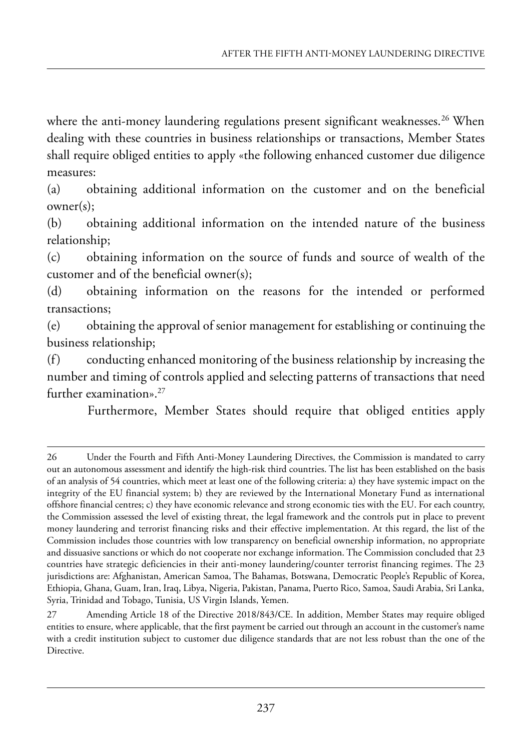where the anti-money laundering regulations present significant weaknesses.<sup>26</sup> When dealing with these countries in business relationships or transactions, Member States shall require obliged entities to apply «the following enhanced customer due diligence measures:

(a) obtaining additional information on the customer and on the beneficial owner(s);

(b) obtaining additional information on the intended nature of the business relationship;

(c) obtaining information on the source of funds and source of wealth of the customer and of the beneficial owner(s);

(d) obtaining information on the reasons for the intended or performed transactions;

(e) obtaining the approval of senior management for establishing or continuing the business relationship;

(f) conducting enhanced monitoring of the business relationship by increasing the number and timing of controls applied and selecting patterns of transactions that need further examination».27

Furthermore, Member States should require that obliged entities apply

<sup>26</sup> Under the Fourth and Fifth Anti-Money Laundering Directives, the Commission is mandated to carry out an autonomous assessment and identify the high-risk third countries. the list has been established on the basis of an analysis of 54 countries, which meet at least one of the following criteria: a) they have systemic impact on the integrity of the EU financial system; b) they are reviewed by the International Monetary Fund as international offshore financial centres; c) they have economic relevance and strong economic ties with the EU. For each country, the Commission assessed the level of existing threat, the legal framework and the controls put in place to prevent money laundering and terrorist financing risks and their effective implementation. at this regard, the list of the Commission includes those countries with low transparency on beneficial ownership information, no appropriate and dissuasive sanctions or which do not cooperate nor exchange information. the Commission concluded that 23 countries have strategic deficiencies in their anti-money laundering/counter terrorist financing regimes. the 23 jurisdictions are: Afghanistan, American Samoa, The Bahamas, Botswana, Democratic People's Republic of Korea, Ethiopia, Ghana, Guam, Iran, Iraq, Libya, Nigeria, Pakistan, Panama, Puerto Rico, Samoa, Saudi Arabia, Sri Lanka, Syria, Trinidad and Tobago, Tunisia, US Virgin Islands, Yemen.

<sup>27</sup> Amending Article 18 of the Directive 2018/843/CE. In addition, Member States may require obliged entities to ensure, where applicable, that the first payment be carried out through an account in the customer's name with a credit institution subject to customer due diligence standards that are not less robust than the one of the Directive.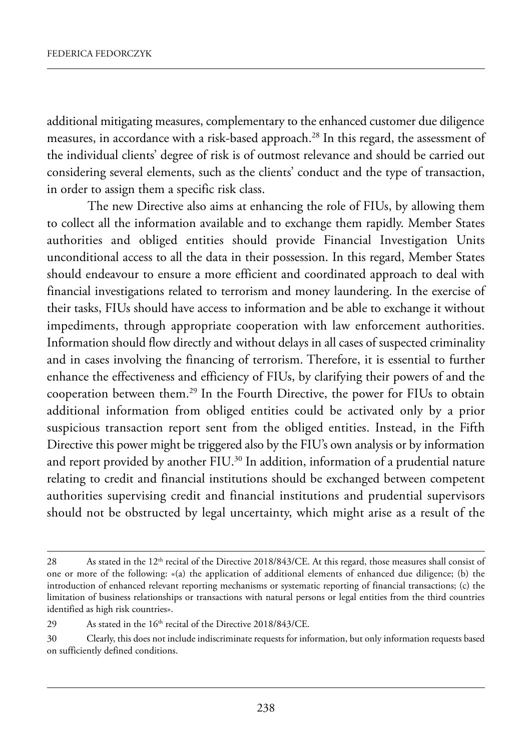additional mitigating measures, complementary to the enhanced customer due diligence measures, in accordance with a risk-based approach.<sup>28</sup> In this regard, the assessment of the individual clients' degree of risk is of outmost relevance and should be carried out considering several elements, such as the clients' conduct and the type of transaction, in order to assign them a specific risk class.

The new Directive also aims at enhancing the role of FIUs, by allowing them to collect all the information available and to exchange them rapidly. Member States authorities and obliged entities should provide Financial Investigation Units unconditional access to all the data in their possession. In this regard, Member States should endeavour to ensure a more efficient and coordinated approach to deal with financial investigations related to terrorism and money laundering. In the exercise of their tasks, FIUs should have access to information and be able to exchange it without impediments, through appropriate cooperation with law enforcement authorities. Information should flow directly and without delays in all cases of suspected criminality and in cases involving the financing of terrorism. Therefore, it is essential to further enhance the effectiveness and efficiency of FIUs, by clarifying their powers of and the cooperation between them.<sup>29</sup> In the Fourth Directive, the power for FIUs to obtain additional information from obliged entities could be activated only by a prior suspicious transaction report sent from the obliged entities. Instead, in the Fifth Directive this power might be triggered also by the FIU's own analysis or by information and report provided by another FIU.<sup>30</sup> In addition, information of a prudential nature relating to credit and financial institutions should be exchanged between competent authorities supervising credit and financial institutions and prudential supervisors should not be obstructed by legal uncertainty, which might arise as a result of the

<sup>28</sup> As stated in the 12<sup>th</sup> recital of the Directive 2018/843/CE. At this regard, those measures shall consist of one or more of the following: «(a) the application of additional elements of enhanced due diligence; (b) the introduction of enhanced relevant reporting mechanisms or systematic reporting of financial transactions; (c) the limitation of business relationships or transactions with natural persons or legal entities from the third countries identified as high risk countries».

<sup>29</sup> As stated in the  $16<sup>th</sup>$  recital of the Directive 2018/843/CE.

<sup>30</sup> Clearly, this does not include indiscriminate requests for information, but only information requests based on sufficiently defined conditions.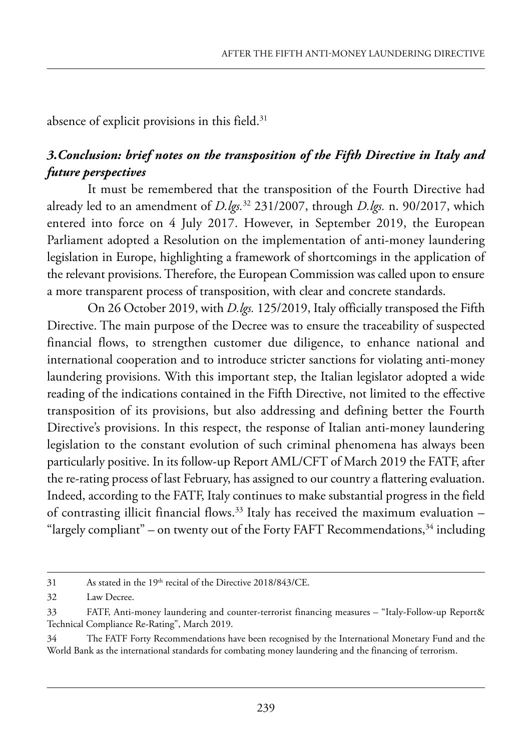absence of explicit provisions in this field.<sup>31</sup>

### *3.Conclusion: brief notes on the transposition of the Fifth Directive in Italy and future perspectives*

It must be remembered that the transposition of the Fourth Directive had already led to an amendment of *D.lgs.*<sup>32</sup> 231/2007, through *D.lgs.* n. 90/2017, which entered into force on 4 July 2017. However, in September 2019, the European Parliament adopted a Resolution on the implementation of anti-money laundering legislation in Europe, highlighting a framework of shortcomings in the application of the relevant provisions. Therefore, the European Commission was called upon to ensure a more transparent process of transposition, with clear and concrete standards.

On 26 October 2019, with *D.lgs.* 125/2019, Italy officially transposed the Fifth Directive. The main purpose of the Decree was to ensure the traceability of suspected financial flows, to strengthen customer due diligence, to enhance national and international cooperation and to introduce stricter sanctions for violating anti-money laundering provisions. With this important step, the Italian legislator adopted a wide reading of the indications contained in the Fifth Directive, not limited to the effective transposition of its provisions, but also addressing and defining better the fourth Directive's provisions. In this respect, the response of Italian anti-money laundering legislation to the constant evolution of such criminal phenomena has always been particularly positive. In its follow-up Report AML/CFT of March 2019 the FATF, after the re-rating process of last february, has assigned to our country a flattering evaluation. Indeed, according to the FATF, Italy continues to make substantial progress in the field of contrasting illicit financial flows.<sup>33</sup> Italy has received the maximum evaluation  $-$ "largely compliant" – on twenty out of the Forty FAFT Recommendations, $34$  including

 $31$  As stated in the 19<sup>th</sup> recital of the Directive 2018/843/CE.

<sup>32</sup> Law Decree.

<sup>33</sup> FATF, Anti-money laundering and counter-terrorist financing measures – "Italy-Follow-up Report& Technical Compliance Re-Rating", March 2019.

<sup>34</sup> The FATF Forty Recommendations have been recognised by the International Monetary Fund and the world Bank as the international standards for combating money laundering and the financing of terrorism.